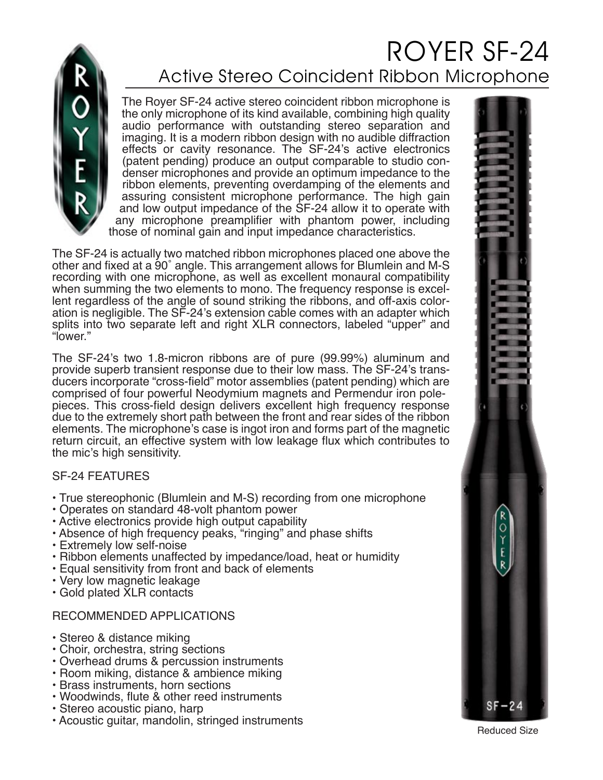

## ROYER SF-24 Active Stereo Coincident Ribbon Microphone

The Royer SF-24 active stereo coincident ribbon microphone is the only microphone of its kind available, combining high quality audio performance with outstanding stereo separation and imaging. It is a modern ribbon design with no audible diffraction effects or cavity resonance. The SF-24's active electronics (patent pending) produce an output comparable to studio condenser microphones and provide an optimum impedance to the ribbon elements, preventing overdamping of the elements and assuring consistent microphone performance. The high gain and low output impedance of the SF-24 allow it to operate with any microphone preamplifier with phantom power, including those of nominal gain and input impedance characteristics.

The SF-24 is actually two matched ribbon microphones placed one above the other and fixed at a 90˚ angle. This arrangement allows for Blumlein and M-S recording with one microphone, as well as excellent monaural compatibility when summing the two elements to mono. The frequency response is excellent regardless of the angle of sound striking the ribbons, and off-axis coloration is negligible. The SF-24's extension cable comes with an adapter which splits into two separate left and right XLR connectors, labeled "upper" and "lower."

The SF-24's two 1.8-micron ribbons are of pure (99.99%) aluminum and provide superb transient response due to their low mass. The SF-24's transducers incorporate "cross-field" motor assemblies (patent pending) which are comprised of four powerful Neodymium magnets and Permendur iron polepieces. This cross-field design delivers excellent high frequency response due to the extremely short path between the front and rear sides of the ribbon elements. The microphone's case is ingot iron and forms part of the magnetic return circuit, an effective system with low leakage flux which contributes to the mic's high sensitivity.

## SF-24 FEATURES

- True stereophonic (Blumlein and M-S) recording from one microphone
- Operates on standard 48-volt phantom power
- Active electronics provide high output capability
- Absence of high frequency peaks, "ringing" and phase shifts
- Extremely low self-noise
- Ribbon elements unaffected by impedance/load, heat or humidity
- Equal sensitivity from front and back of elements
- Very low magnetic leakage
- Gold plated XLR contacts

## RECOMMENDED APPLICATIONS

- Stereo & distance miking
- Choir, orchestra, string sections
- Overhead drums & percussion instruments
- Room miking, distance & ambience miking
- Brass instruments, horn sections
- Woodwinds, flute & other reed instruments
- Stereo acoustic piano, harp
- Acoustic guitar, mandolin, stringed instruments Reduced Size